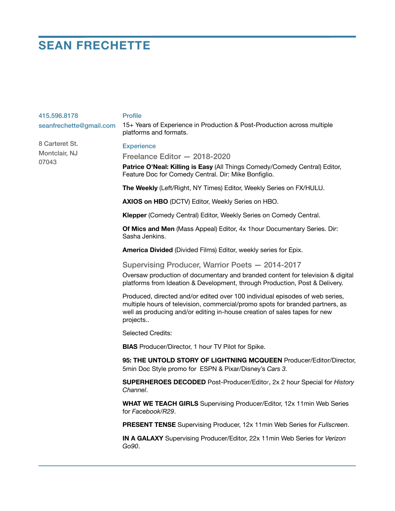## **SEAN FRECHETTE**

| 415.596.8178            | <b>Profile</b>                                                                                                                                                                                                                                         |
|-------------------------|--------------------------------------------------------------------------------------------------------------------------------------------------------------------------------------------------------------------------------------------------------|
| seanfrechette@gmail.com | 15+ Years of Experience in Production & Post-Production across multiple<br>platforms and formats.                                                                                                                                                      |
| 8 Carteret St.          | <b>Experience</b>                                                                                                                                                                                                                                      |
| Montclair, NJ<br>07043  | Freelance Editor - 2018-2020                                                                                                                                                                                                                           |
|                         | Patrice O'Neal: Killing is Easy (All Things Comedy/Comedy Central) Editor,<br>Feature Doc for Comedy Central. Dir: Mike Bonfiglio.                                                                                                                     |
|                         | The Weekly (Left/Right, NY Times) Editor, Weekly Series on FX/HULU.                                                                                                                                                                                    |
|                         | AXIOS on HBO (DCTV) Editor, Weekly Series on HBO.                                                                                                                                                                                                      |
|                         | Klepper (Comedy Central) Editor, Weekly Series on Comedy Central.                                                                                                                                                                                      |
|                         | Of Mics and Men (Mass Appeal) Editor, 4x 1 hour Documentary Series. Dir:<br>Sasha Jenkins.                                                                                                                                                             |
|                         | America Divided (Divided Films) Editor, weekly series for Epix.                                                                                                                                                                                        |
|                         | Supervising Producer, Warrior Poets - 2014-2017                                                                                                                                                                                                        |
|                         | Oversaw production of documentary and branded content for television & digital<br>platforms from Ideation & Development, through Production, Post & Delivery.                                                                                          |
|                         | Produced, directed and/or edited over 100 individual episodes of web series,<br>multiple hours of television, commercial/promo spots for branded partners, as<br>well as producing and/or editing in-house creation of sales tapes for new<br>projects |
|                         | <b>Selected Credits:</b>                                                                                                                                                                                                                               |
|                         | <b>BIAS</b> Producer/Director, 1 hour TV Pilot for Spike.                                                                                                                                                                                              |
|                         | 95: THE UNTOLD STORY OF LIGHTNING MCQUEEN Producer/Editor/Director,<br>5min Doc Style promo for ESPN & Pixar/Disney's Cars 3.                                                                                                                          |
|                         | <b>SUPERHEROES DECODED</b> Post-Producer/Editor, 2x 2 hour Special for History<br>Channel.                                                                                                                                                             |
|                         | WHAT WE TEACH GIRLS Supervising Producer/Editor, 12x 11min Web Series<br>for Facebook/R29.                                                                                                                                                             |
|                         | PRESENT TENSE Supervising Producer, 12x 11min Web Series for Fullscreen.                                                                                                                                                                               |
|                         | IN A GALAXY Supervising Producer/Editor, 22x 11min Web Series for Verizon<br>Go90.                                                                                                                                                                     |